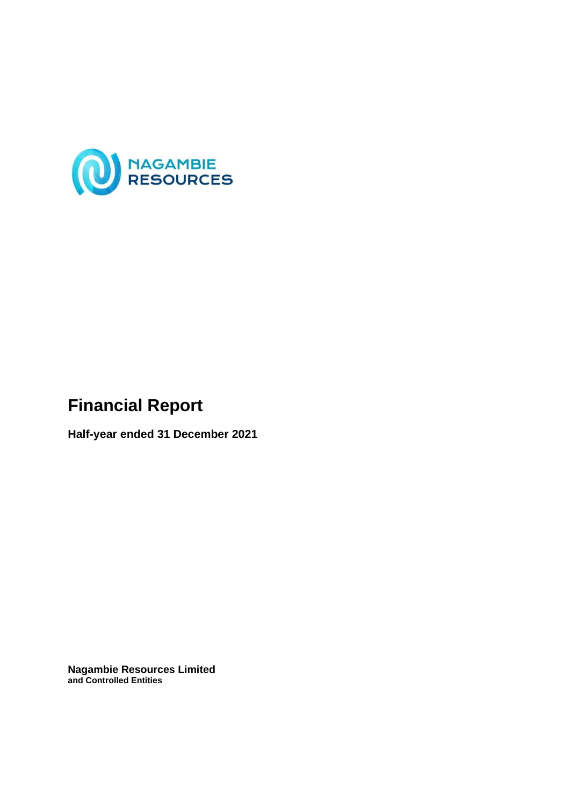

# **Financial Report**

**Half-year ended 31 December 2021**

**Nagambie Resources Limited and Controlled Entities**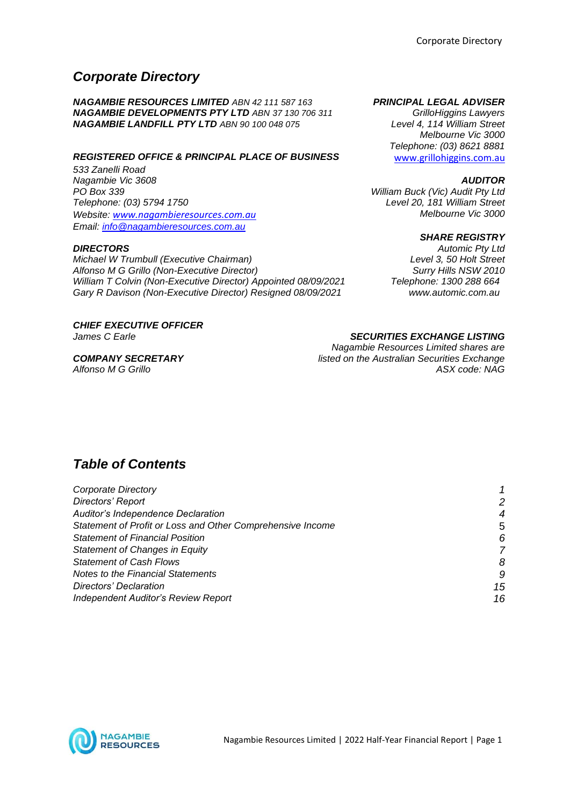## *Corporate Directory*

*NAGAMBIE RESOURCES LIMITED ABN 42 111 587 163 PRINCIPAL LEGAL ADVISER NAGAMBIE DEVELOPMENTS PTY LTD ABN 37 130 706 311 GrilloHiggins Lawyers NAGAMBIE LANDFILL PTY LTD ABN 90 100 048 075 Level 4, 114 William Street*

*REGISTERED OFFICE & PRINCIPAL PLACE OF BUSINESS* www.grillohiggins.com.au

*533 Zanelli Road Nagambie Vic 3608 AUDITOR PO Box 339 William Buck (Vic) Audit Pty Ltd Website: [www.nagambieresources.com.au](http://www.nagambieresources.com.au/) Email: [info@nagambieresources.com.au](mailto:info@nagambieresources.com.au)*

*Michael W Trumbull (Executive Chairman) Level 3, 50 Holt Street Alfonso M G Grillo (Non-Executive Director) William T Colvin (Non-Executive Director) Appointed 08/09/2021 Gary R Davison (Non-Executive Director) Resigned 08/09/2021*

*CHIEF EXECUTIVE OFFICER*

*Alfonso M G Grillo* 

*Melbourne Vic 3000 Telephone: (03) 8621 8881*

*Telephone: (03) 5794 1750 Level 20, 181 William Street*

#### *SHARE REGISTRY*

*DIRECTORS Automic Pty Ltd Telephone: 1300 288 664 www.automic.com.au*

#### *James C Earle SECURITIES EXCHANGE LISTING*

*Nagambie Resources Limited shares are COMPANY SECRETARY listed on the Australian Securities Exchange*

## *Table of Contents*

| Corporate Directory                                        |    |
|------------------------------------------------------------|----|
| Directors' Report                                          | 2  |
| <b>Auditor's Independence Declaration</b>                  | 4  |
| Statement of Profit or Loss and Other Comprehensive Income | 5  |
| <b>Statement of Financial Position</b>                     | 6  |
| Statement of Changes in Equity                             |    |
| <b>Statement of Cash Flows</b>                             | δ  |
| <b>Notes to the Financial Statements</b>                   | ç, |
| Directors' Declaration                                     | 15 |
| <b>Independent Auditor's Review Report</b>                 | 16 |

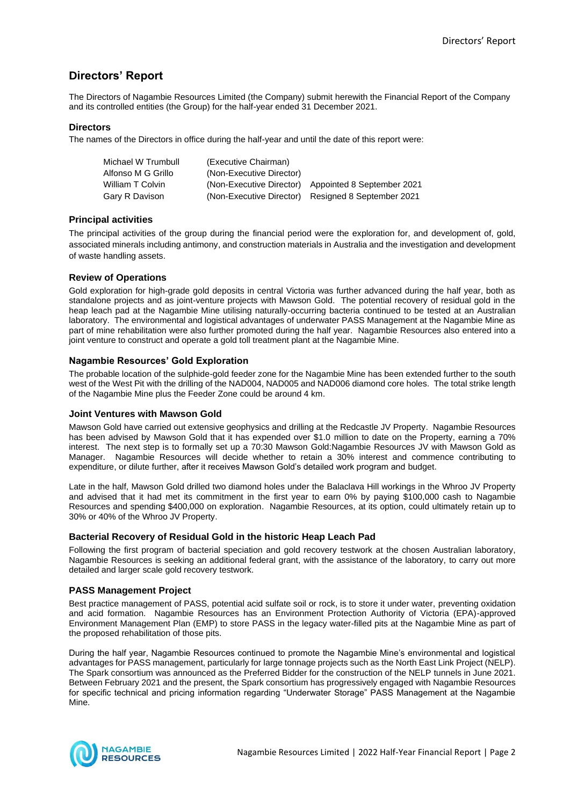## **Directors' Report**

The Directors of Nagambie Resources Limited (the Company) submit herewith the Financial Report of the Company and its controlled entities (the Group) for the half-year ended 31 December 2021.

#### **Directors**

The names of the Directors in office during the half-year and until the date of this report were:

| Michael W Trumbull | (Executive Chairman)     |                                                     |
|--------------------|--------------------------|-----------------------------------------------------|
| Alfonso M G Grillo | (Non-Executive Director) |                                                     |
| William T Colvin   |                          | (Non-Executive Director) Appointed 8 September 2021 |
| Gary R Davison     |                          | (Non-Executive Director) Resigned 8 September 2021  |

#### **Principal activities**

The principal activities of the group during the financial period were the exploration for, and development of, gold, associated minerals including antimony, and construction materials in Australia and the investigation and development of waste handling assets.

#### **Review of Operations**

Gold exploration for high-grade gold deposits in central Victoria was further advanced during the half year, both as standalone projects and as joint-venture projects with Mawson Gold. The potential recovery of residual gold in the heap leach pad at the Nagambie Mine utilising naturally-occurring bacteria continued to be tested at an Australian laboratory. The environmental and logistical advantages of underwater PASS Management at the Nagambie Mine as part of mine rehabilitation were also further promoted during the half year. Nagambie Resources also entered into a joint venture to construct and operate a gold toll treatment plant at the Nagambie Mine.

#### **Nagambie Resources' Gold Exploration**

The probable location of the sulphide-gold feeder zone for the Nagambie Mine has been extended further to the south west of the West Pit with the drilling of the NAD004, NAD005 and NAD006 diamond core holes. The total strike length of the Nagambie Mine plus the Feeder Zone could be around 4 km.

#### **Joint Ventures with Mawson Gold**

Mawson Gold have carried out extensive geophysics and drilling at the Redcastle JV Property. Nagambie Resources has been advised by Mawson Gold that it has expended over \$1.0 million to date on the Property, earning a 70% interest. The next step is to formally set up a 70:30 Mawson Gold:Nagambie Resources JV with Mawson Gold as Manager. Nagambie Resources will decide whether to retain a 30% interest and commence contributing to expenditure, or dilute further, after it receives Mawson Gold's detailed work program and budget.

Late in the half, Mawson Gold drilled two diamond holes under the Balaclava Hill workings in the Whroo JV Property and advised that it had met its commitment in the first year to earn 0% by paying \$100,000 cash to Nagambie Resources and spending \$400,000 on exploration. Nagambie Resources, at its option, could ultimately retain up to 30% or 40% of the Whroo JV Property.

#### **Bacterial Recovery of Residual Gold in the historic Heap Leach Pad**

Following the first program of bacterial speciation and gold recovery testwork at the chosen Australian laboratory, Nagambie Resources is seeking an additional federal grant, with the assistance of the laboratory, to carry out more detailed and larger scale gold recovery testwork.

#### **PASS Management Project**

Best practice management of PASS, potential acid sulfate soil or rock, is to store it under water, preventing oxidation and acid formation. Nagambie Resources has an Environment Protection Authority of Victoria (EPA)-approved Environment Management Plan (EMP) to store PASS in the legacy water-filled pits at the Nagambie Mine as part of the proposed rehabilitation of those pits.

During the half year, Nagambie Resources continued to promote the Nagambie Mine's environmental and logistical advantages for PASS management, particularly for large tonnage projects such as the North East Link Project (NELP). The Spark consortium was announced as the Preferred Bidder for the construction of the NELP tunnels in June 2021. Between February 2021 and the present, the Spark consortium has progressively engaged with Nagambie Resources for specific technical and pricing information regarding "Underwater Storage" PASS Management at the Nagambie Mine.

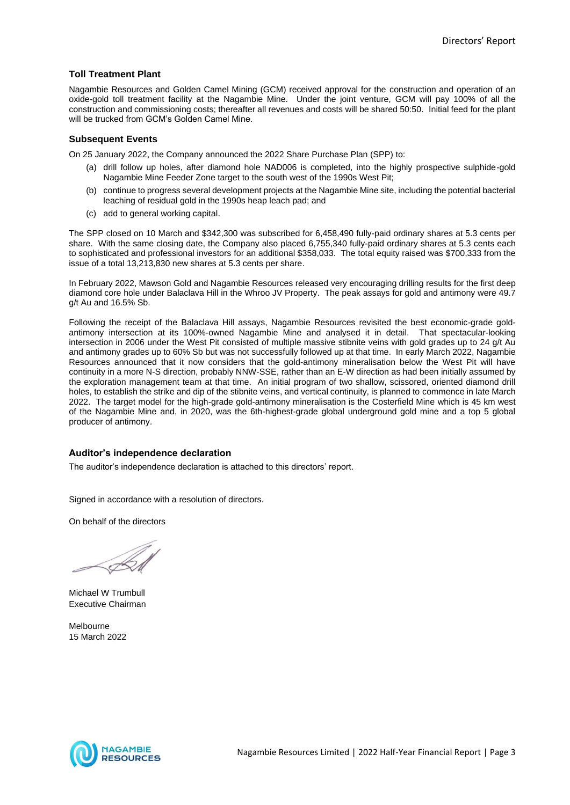#### **Toll Treatment Plant**

Nagambie Resources and Golden Camel Mining (GCM) received approval for the construction and operation of an oxide-gold toll treatment facility at the Nagambie Mine. Under the joint venture, GCM will pay 100% of all the construction and commissioning costs; thereafter all revenues and costs will be shared 50:50. Initial feed for the plant will be trucked from GCM's Golden Camel Mine.

#### **Subsequent Events**

On 25 January 2022, the Company announced the 2022 Share Purchase Plan (SPP) to:

- (a) drill follow up holes, after diamond hole NAD006 is completed, into the highly prospective sulphide-gold Nagambie Mine Feeder Zone target to the south west of the 1990s West Pit;
- (b) continue to progress several development projects at the Nagambie Mine site, including the potential bacterial leaching of residual gold in the 1990s heap leach pad; and
- (c) add to general working capital.

The SPP closed on 10 March and \$342,300 was subscribed for 6,458,490 fully-paid ordinary shares at 5.3 cents per share. With the same closing date, the Company also placed 6,755,340 fully-paid ordinary shares at 5.3 cents each to sophisticated and professional investors for an additional \$358,033. The total equity raised was \$700,333 from the issue of a total 13,213,830 new shares at 5.3 cents per share.

In February 2022, Mawson Gold and Nagambie Resources released very encouraging drilling results for the first deep diamond core hole under Balaclava Hill in the Whroo JV Property. The peak assays for gold and antimony were 49.7 g/t Au and 16.5% Sb.

Following the receipt of the Balaclava Hill assays, Nagambie Resources revisited the best economic-grade goldantimony intersection at its 100%-owned Nagambie Mine and analysed it in detail. That spectacular-looking intersection in 2006 under the West Pit consisted of multiple massive stibnite veins with gold grades up to 24 g/t Au and antimony grades up to 60% Sb but was not successfully followed up at that time. In early March 2022, Nagambie Resources announced that it now considers that the gold-antimony mineralisation below the West Pit will have continuity in a more N-S direction, probably NNW-SSE, rather than an E-W direction as had been initially assumed by the exploration management team at that time. An initial program of two shallow, scissored, oriented diamond drill holes, to establish the strike and dip of the stibnite veins, and vertical continuity, is planned to commence in late March 2022. The target model for the high-grade gold-antimony mineralisation is the Costerfield Mine which is 45 km west of the Nagambie Mine and, in 2020, was the 6th-highest-grade global underground gold mine and a top 5 global producer of antimony.

#### **Auditor's independence declaration**

The auditor's independence declaration is attached to this directors' report.

Signed in accordance with a resolution of directors.

On behalf of the directors

Michael W Trumbull Executive Chairman

Melbourne 15 March 2022

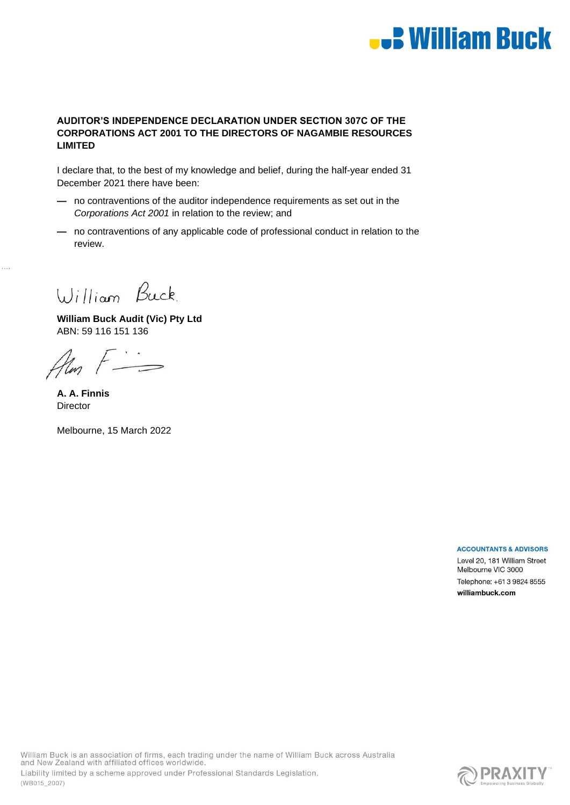# **.: William Buck**

#### **AUDITOR'S INDEPENDENCE DECLARATION UNDER SECTION 307C OF THE CORPORATIONS ACT 2001 TO THE DIRECTORS OF NAGAMBIE RESOURCES LIMITED**

I declare that, to the best of my knowledge and belief, during the half-year ended 31 December 2021 there have been:

- **—** no contraventions of the auditor independence requirements as set out in the *Corporations Act 2001* in relation to the review; and
- **—** no contraventions of any applicable code of professional conduct in relation to the review.

William Buck

**William Buck Audit (Vic) Pty Ltd** ABN: 59 116 151 136

Alm F

**A. A. Finnis Director** 

Melbourne, 15 March 2022

**ACCOUNTANTS & ADVISORS** 

Level 20, 181 William Street Melbourne VIC 3000 Telephone: +61 3 9824 8555 williambuck.com

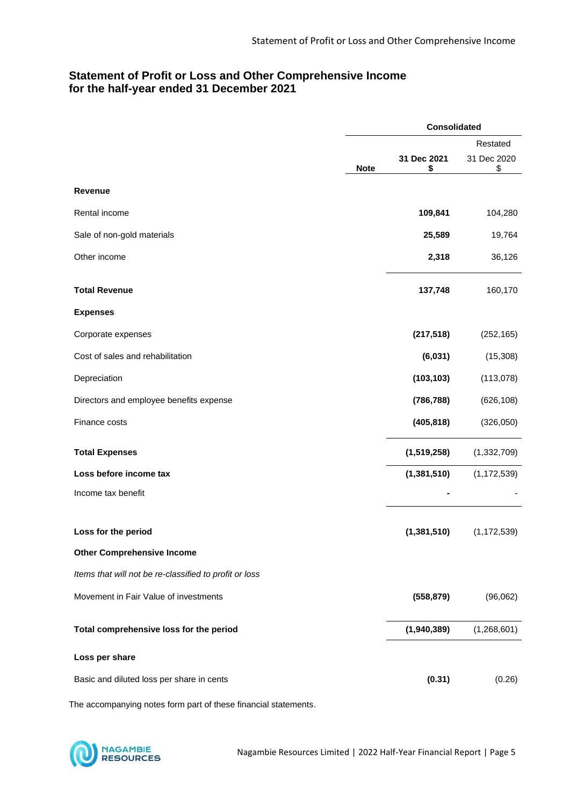#### **Statement of Profit or Loss and Other Comprehensive Income for the half-year ended 31 December 2021**

|                                                        | <b>Consolidated</b> |                   |                   |
|--------------------------------------------------------|---------------------|-------------------|-------------------|
|                                                        |                     |                   | Restated          |
|                                                        | <b>Note</b>         | 31 Dec 2021<br>\$ | 31 Dec 2020<br>\$ |
| <b>Revenue</b>                                         |                     |                   |                   |
| Rental income                                          |                     | 109,841           | 104,280           |
| Sale of non-gold materials                             |                     | 25,589            | 19,764            |
| Other income                                           |                     | 2,318             | 36,126            |
| <b>Total Revenue</b>                                   |                     | 137,748           | 160,170           |
| <b>Expenses</b>                                        |                     |                   |                   |
| Corporate expenses                                     |                     | (217, 518)        | (252, 165)        |
| Cost of sales and rehabilitation                       |                     | (6,031)           | (15, 308)         |
| Depreciation                                           |                     | (103, 103)        | (113,078)         |
| Directors and employee benefits expense                |                     | (786, 788)        | (626, 108)        |
| Finance costs                                          |                     | (405, 818)        | (326,050)         |
| <b>Total Expenses</b>                                  |                     | (1,519,258)       | (1, 332, 709)     |
| Loss before income tax                                 |                     | (1, 381, 510)     | (1, 172, 539)     |
| Income tax benefit                                     |                     |                   |                   |
| Loss for the period                                    |                     | (1, 381, 510)     | (1, 172, 539)     |
| <b>Other Comprehensive Income</b>                      |                     |                   |                   |
| Items that will not be re-classified to profit or loss |                     |                   |                   |
| Movement in Fair Value of investments                  |                     | (558, 879)        | (96,062)          |
| Total comprehensive loss for the period                |                     | (1,940,389)       | (1,268,601)       |
| Loss per share                                         |                     |                   |                   |
| Basic and diluted loss per share in cents              |                     | (0.31)            | (0.26)            |

The accompanying notes form part of these financial statements.

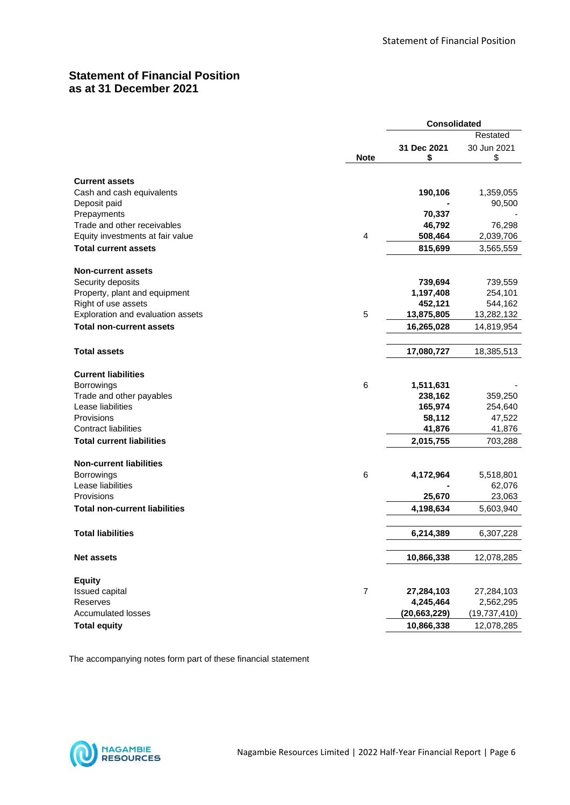## **Statement of Financial Position as at 31 December 2021**

|                                      |                | <b>Consolidated</b> |                   |
|--------------------------------------|----------------|---------------------|-------------------|
|                                      |                |                     | Restated          |
|                                      | <b>Note</b>    | 31 Dec 2021<br>\$   | 30 Jun 2021<br>\$ |
| <b>Current assets</b>                |                |                     |                   |
| Cash and cash equivalents            |                | 190,106             | 1,359,055         |
| Deposit paid                         |                |                     | 90,500            |
| Prepayments                          |                | 70,337              |                   |
| Trade and other receivables          |                | 46,792              | 76,298            |
| Equity investments at fair value     | 4              | 508,464             | 2,039,706         |
| <b>Total current assets</b>          |                | 815,699             | 3,565,559         |
| <b>Non-current assets</b>            |                |                     |                   |
| Security deposits                    |                | 739,694             | 739,559           |
| Property, plant and equipment        |                | 1,197,408           | 254,101           |
| Right of use assets                  |                | 452,121             | 544,162           |
| Exploration and evaluation assets    | 5              | 13,875,805          | 13,282,132        |
| <b>Total non-current assets</b>      |                | 16,265,028          | 14,819,954        |
| <b>Total assets</b>                  |                | 17,080,727          | 18,385,513        |
|                                      |                |                     |                   |
| <b>Current liabilities</b>           |                |                     |                   |
| Borrowings                           | 6              | 1,511,631           |                   |
| Trade and other payables             |                | 238,162             | 359,250           |
| Lease liabilities                    |                | 165,974             | 254,640           |
| Provisions                           |                | 58,112              | 47,522            |
| <b>Contract liabilities</b>          |                | 41,876              | 41,876            |
| <b>Total current liabilities</b>     |                | 2,015,755           | 703,288           |
| <b>Non-current liabilities</b>       |                |                     |                   |
| <b>Borrowings</b>                    | 6              | 4,172,964           | 5,518,801         |
| Lease liabilities                    |                |                     | 62,076            |
| Provisions                           |                | 25,670              | 23,063            |
| <b>Total non-current liabilities</b> |                | 4,198,634           | 5,603,940         |
| <b>Total liabilities</b>             |                | 6,214,389           | 6,307,228         |
| <b>Net assets</b>                    |                | 10,866,338          | 12,078,285        |
|                                      |                |                     |                   |
| <b>Equity</b>                        |                |                     |                   |
| Issued capital                       | $\overline{7}$ | 27,284,103          | 27,284,103        |
| Reserves                             |                | 4,245,464           | 2,562,295         |
| <b>Accumulated losses</b>            |                | (20, 663, 229)      | (19, 737, 410)    |
| <b>Total equity</b>                  |                | 10,866,338          | 12,078,285        |

The accompanying notes form part of these financial statement

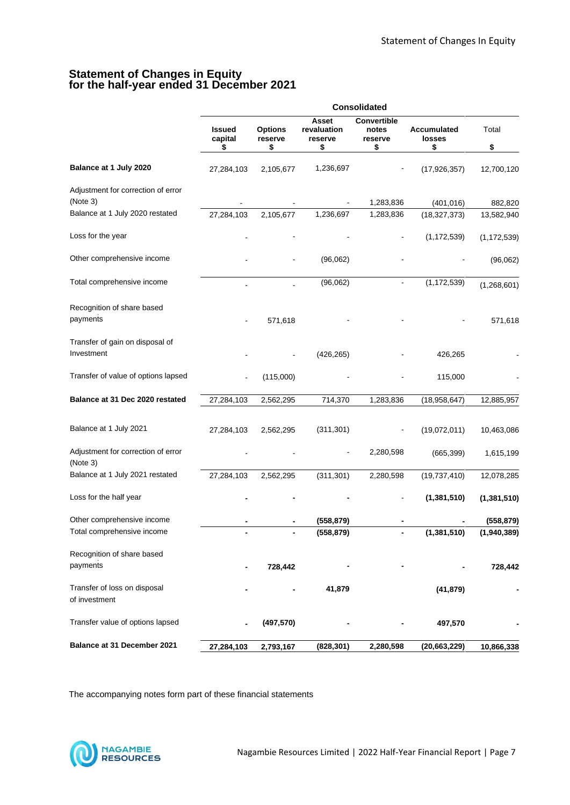#### **Statement of Changes in Equity for the half-year ended 31 December 2021**

|                                                |                                |                                 |                                       | <b>Consolidated</b>                   |                              |                       |
|------------------------------------------------|--------------------------------|---------------------------------|---------------------------------------|---------------------------------------|------------------------------|-----------------------|
|                                                | <b>Issued</b><br>capital<br>\$ | <b>Options</b><br>reserve<br>\$ | Asset<br>revaluation<br>reserve<br>\$ | Convertible<br>notes<br>reserve<br>\$ | Accumulated<br>losses<br>\$  | Total<br>\$           |
| Balance at 1 July 2020                         | 27,284,103                     | 2,105,677                       | 1,236,697                             |                                       | (17, 926, 357)               | 12,700,120            |
| Adjustment for correction of error<br>(Note 3) |                                |                                 |                                       |                                       |                              |                       |
| Balance at 1 July 2020 restated                | 27,284,103                     | 2,105,677                       | 1,236,697                             | 1,283,836<br>1,283,836                | (401, 016)<br>(18, 327, 373) | 882,820<br>13,582,940 |
| Loss for the year                              |                                |                                 |                                       |                                       | (1, 172, 539)                | (1, 172, 539)         |
| Other comprehensive income                     |                                |                                 | (96,062)                              |                                       |                              | (96,062)              |
| Total comprehensive income                     |                                |                                 | (96,062)                              |                                       | (1, 172, 539)                | (1,268,601)           |
| Recognition of share based<br>payments         |                                | 571,618                         |                                       |                                       |                              | 571,618               |
| Transfer of gain on disposal of<br>Investment  |                                |                                 | (426, 265)                            |                                       | 426,265                      |                       |
| Transfer of value of options lapsed            |                                | (115,000)                       |                                       |                                       | 115,000                      |                       |
| Balance at 31 Dec 2020 restated                | 27,284,103                     | 2,562,295                       | 714,370                               | 1,283,836                             | (18,958,647)                 | 12,885,957            |
| Balance at 1 July 2021                         | 27,284,103                     | 2,562,295                       | (311, 301)                            |                                       | (19,072,011)                 | 10,463,086            |
| Adjustment for correction of error<br>(Note 3) |                                |                                 |                                       | 2,280,598                             | (665, 399)                   | 1,615,199             |
| Balance at 1 July 2021 restated                | 27,284,103                     | 2,562,295                       | (311, 301)                            | 2,280,598                             | (19, 737, 410)               | 12,078,285            |
| Loss for the half year                         |                                |                                 |                                       |                                       | (1, 381, 510)                | (1, 381, 510)         |
| Other comprehensive income                     |                                |                                 | (558, 879)                            |                                       |                              | (558, 879)            |
| Total comprehensive income                     |                                |                                 | (558, 879)                            |                                       | (1, 381, 510)                | (1,940,389)           |
| Recognition of share based<br>payments         |                                | 728,442                         |                                       |                                       |                              | 728,442               |
| Transfer of loss on disposal<br>of investment  |                                |                                 | 41,879                                |                                       | (41, 879)                    |                       |
| Transfer value of options lapsed               |                                | (497, 570)                      |                                       |                                       | 497,570                      |                       |
| Balance at 31 December 2021                    | 27,284,103                     | 2,793,167                       | (828, 301)                            | 2,280,598                             | (20, 663, 229)               | 10,866,338            |

The accompanying notes form part of these financial statements

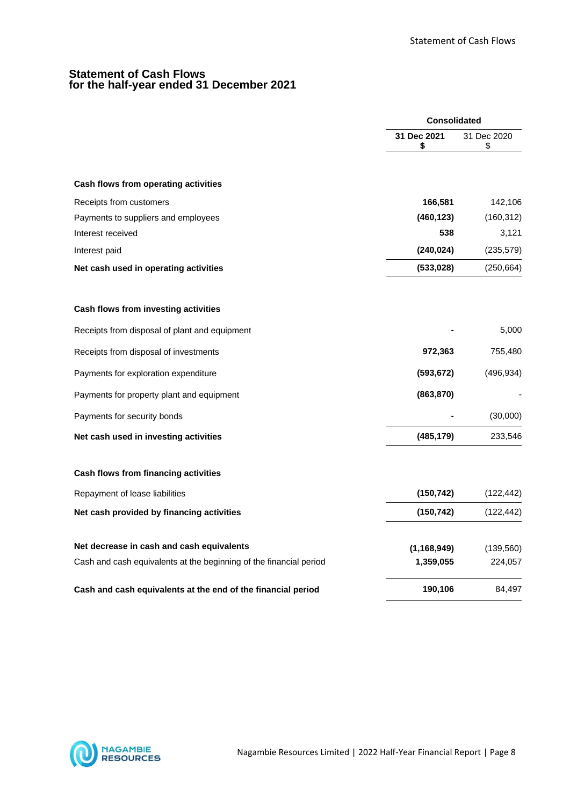#### **Statement of Cash Flows for the half-year ended 31 December 2021**

|                                                                    | <b>Consolidated</b> |                   |
|--------------------------------------------------------------------|---------------------|-------------------|
|                                                                    | 31 Dec 2021<br>\$   | 31 Dec 2020<br>\$ |
| Cash flows from operating activities                               |                     |                   |
| Receipts from customers                                            | 166,581             | 142,106           |
| Payments to suppliers and employees                                | (460, 123)          | (160, 312)        |
| Interest received                                                  | 538                 | 3,121             |
| Interest paid                                                      | (240, 024)          | (235, 579)        |
| Net cash used in operating activities                              | (533,028)           | (250, 664)        |
| Cash flows from investing activities                               |                     |                   |
| Receipts from disposal of plant and equipment                      |                     | 5,000             |
| Receipts from disposal of investments                              | 972,363             | 755,480           |
| Payments for exploration expenditure                               | (593, 672)          | (496, 934)        |
| Payments for property plant and equipment                          | (863, 870)          |                   |
| Payments for security bonds                                        |                     | (30,000)          |
| Net cash used in investing activities                              | (485, 179)          | 233,546           |
| Cash flows from financing activities                               |                     |                   |
| Repayment of lease liabilities                                     | (150, 742)          | (122, 442)        |
| Net cash provided by financing activities                          | (150, 742)          | (122, 442)        |
| Net decrease in cash and cash equivalents                          | (1, 168, 949)       | (139, 560)        |
| Cash and cash equivalents at the beginning of the financial period | 1,359,055           | 224,057           |
| Cash and cash equivalents at the end of the financial period       | 190,106             | 84,497            |

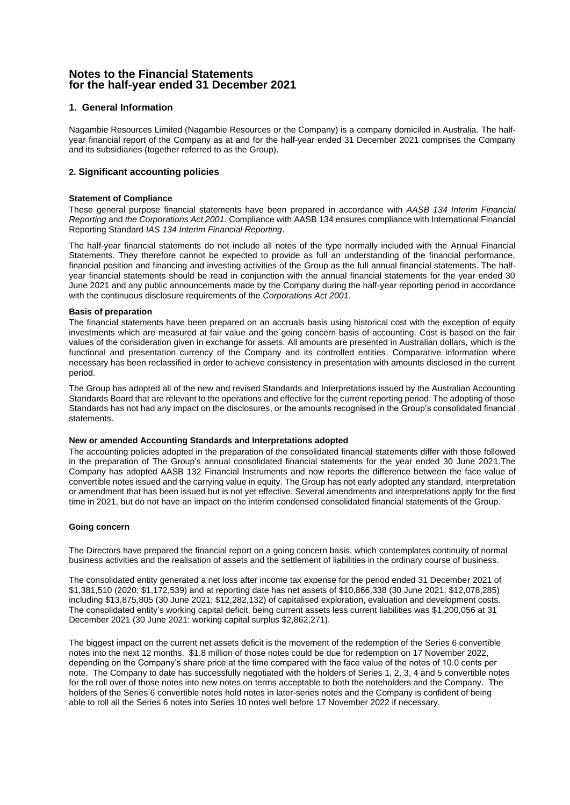#### **Notes to the Financial Statements for the half-year ended 31 December 2021**

#### **1. General Information**

Nagambie Resources Limited (Nagambie Resources or the Company) is a company domiciled in Australia. The halfyear financial report of the Company as at and for the half-year ended 31 December 2021 comprises the Company and its subsidiaries (together referred to as the Group).

#### **2. Significant accounting policies**

#### **Statement of Compliance**

These general purpose financial statements have been prepared in accordance with *AASB 134 Interim Financial Reporting* and *the Corporations Act 2001*. Compliance with AASB 134 ensures compliance with International Financial Reporting Standard *IAS 134 Interim Financial Reporting*.

The half-year financial statements do not include all notes of the type normally included with the Annual Financial Statements. They therefore cannot be expected to provide as full an understanding of the financial performance, financial position and financing and investing activities of the Group as the full annual financial statements. The halfyear financial statements should be read in conjunction with the annual financial statements for the year ended 30 June 2021 and any public announcements made by the Company during the half-year reporting period in accordance with the continuous disclosure requirements of the *Corporations Act 2001*.

#### **Basis of preparation**

The financial statements have been prepared on an accruals basis using historical cost with the exception of equity investments which are measured at fair value and the going concern basis of accounting. Cost is based on the fair values of the consideration given in exchange for assets. All amounts are presented in Australian dollars, which is the functional and presentation currency of the Company and its controlled entities. Comparative information where necessary has been reclassified in order to achieve consistency in presentation with amounts disclosed in the current period.

The Group has adopted all of the new and revised Standards and Interpretations issued by the Australian Accounting Standards Board that are relevant to the operations and effective for the current reporting period. The adopting of those Standards has not had any impact on the disclosures, or the amounts recognised in the Group's consolidated financial statements.

#### **New or amended Accounting Standards and Interpretations adopted**

The accounting policies adopted in the preparation of the consolidated financial statements differ with those followed in the preparation of The Group's annual consolidated financial statements for the year ended 30 June 2021.The Company has adopted AASB 132 Financial Instruments and now reports the difference between the face value of convertible notes issued and the carrying value in equity. The Group has not early adopted any standard, interpretation or amendment that has been issued but is not yet effective. Several amendments and interpretations apply for the first time in 2021, but do not have an impact on the interim condensed consolidated financial statements of the Group.

#### **Going concern**

The Directors have prepared the financial report on a going concern basis, which contemplates continuity of normal business activities and the realisation of assets and the settlement of liabilities in the ordinary course of business.

The consolidated entity generated a net loss after income tax expense for the period ended 31 December 2021 of \$1,381,510 (2020: \$1,172,539) and at reporting date has net assets of \$10,866,338 (30 June 2021: \$12,078,285) including \$13,875,805 (30 June 2021: \$12,282,132) of capitalised exploration, evaluation and development costs. The consolidated entity's working capital deficit, being current assets less current liabilities was \$1,200,056 at 31 December 2021 (30 June 2021: working capital surplus \$2,862,271).

The biggest impact on the current net assets deficit is the movement of the redemption of the Series 6 convertible notes into the next 12 months. \$1.8 million of those notes could be due for redemption on 17 November 2022, depending on the Company's share price at the time compared with the face value of the notes of 10.0 cents per note. The Company to date has successfully negotiated with the holders of Series 1, 2, 3, 4 and 5 convertible notes for the roll over of those notes into new notes on terms acceptable to both the noteholders and the Company. The holders of the Series 6 convertible notes hold notes in later-series notes and the Company is confident of being able to roll all the Series 6 notes into Series 10 notes well before 17 November 2022 if necessary.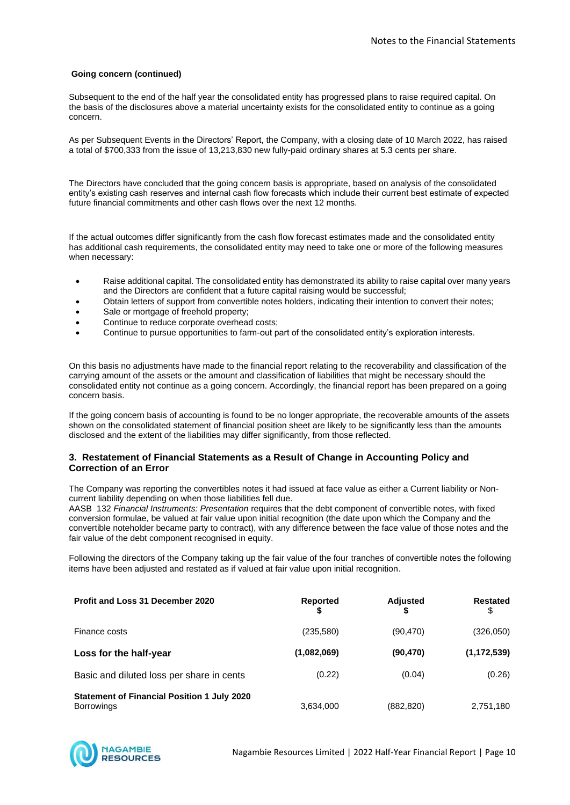#### **Going concern (continued)**

Subsequent to the end of the half year the consolidated entity has progressed plans to raise required capital. On the basis of the disclosures above a material uncertainty exists for the consolidated entity to continue as a going concern.

As per Subsequent Events in the Directors' Report, the Company, with a closing date of 10 March 2022, has raised a total of \$700,333 from the issue of 13,213,830 new fully-paid ordinary shares at 5.3 cents per share.

The Directors have concluded that the going concern basis is appropriate, based on analysis of the consolidated entity's existing cash reserves and internal cash flow forecasts which include their current best estimate of expected future financial commitments and other cash flows over the next 12 months.

If the actual outcomes differ significantly from the cash flow forecast estimates made and the consolidated entity has additional cash requirements, the consolidated entity may need to take one or more of the following measures when necessary:

- Raise additional capital. The consolidated entity has demonstrated its ability to raise capital over many years and the Directors are confident that a future capital raising would be successful;
- Obtain letters of support from convertible notes holders, indicating their intention to convert their notes;
- Sale or mortgage of freehold property;
- Continue to reduce corporate overhead costs;
- Continue to pursue opportunities to farm-out part of the consolidated entity's exploration interests.

On this basis no adjustments have made to the financial report relating to the recoverability and classification of the carrying amount of the assets or the amount and classification of liabilities that might be necessary should the consolidated entity not continue as a going concern. Accordingly, the financial report has been prepared on a going concern basis.

If the going concern basis of accounting is found to be no longer appropriate, the recoverable amounts of the assets shown on the consolidated statement of financial position sheet are likely to be significantly less than the amounts disclosed and the extent of the liabilities may differ significantly, from those reflected.

#### **3. Restatement of Financial Statements as a Result of Change in Accounting Policy and Correction of an Error**

The Company was reporting the convertibles notes it had issued at face value as either a Current liability or Noncurrent liability depending on when those liabilities fell due.

AASB 132 *Financial Instruments: Presentation* requires that the debt component of convertible notes, with fixed conversion formulae, be valued at fair value upon initial recognition (the date upon which the Company and the convertible noteholder became party to contract), with any difference between the face value of those notes and the fair value of the debt component recognised in equity.

Following the directors of the Company taking up the fair value of the four tranches of convertible notes the following items have been adjusted and restated as if valued at fair value upon initial recognition.

| <b>Profit and Loss 31 December 2020</b>                                 | <b>Reported</b> | <b>Adjusted</b> | <b>Restated</b><br>\$ |
|-------------------------------------------------------------------------|-----------------|-----------------|-----------------------|
| Finance costs                                                           | (235,580)       | (90, 470)       | (326,050)             |
| Loss for the half-year                                                  | (1,082,069)     | (90,470)        | (1, 172, 539)         |
| Basic and diluted loss per share in cents                               | (0.22)          | (0.04)          | (0.26)                |
| <b>Statement of Financial Position 1 July 2020</b><br><b>Borrowings</b> | 3,634,000       | (882, 820)      | 2,751,180             |

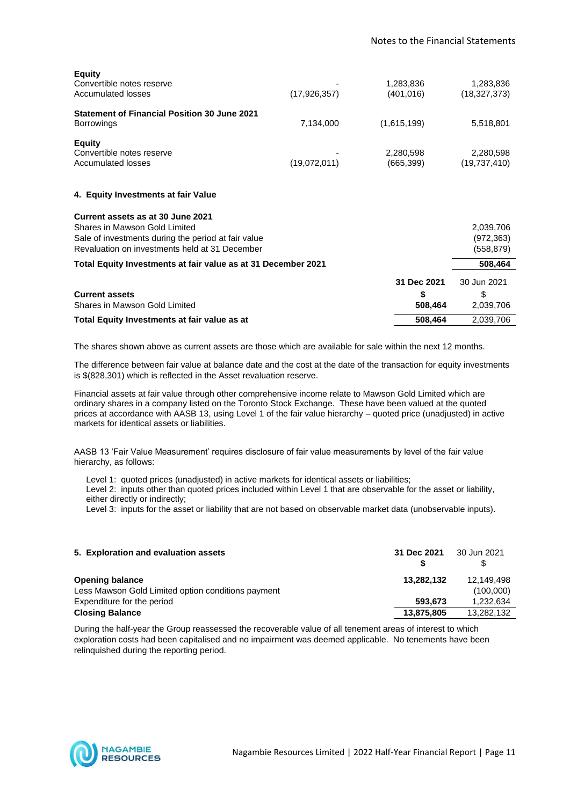| <b>Equity</b><br>Convertible notes reserve<br><b>Accumulated losses</b>                                                                                                     | (17, 926, 357) | 1,283,836<br>(401, 016)      | 1,283,836<br>(18, 327, 373)           |
|-----------------------------------------------------------------------------------------------------------------------------------------------------------------------------|----------------|------------------------------|---------------------------------------|
| <b>Statement of Financial Position 30 June 2021</b><br><b>Borrowings</b>                                                                                                    | 7,134,000      | (1,615,199)                  | 5,518,801                             |
| <b>Equity</b><br>Convertible notes reserve<br>Accumulated losses                                                                                                            | (19,072,011)   | 2,280,598<br>(665, 399)      | 2,280,598<br>(19,737,410)             |
| 4. Equity Investments at fair Value                                                                                                                                         |                |                              |                                       |
| Current assets as at 30 June 2021<br>Shares in Mawson Gold Limited<br>Sale of investments during the period at fair value<br>Revaluation on investments held at 31 December |                |                              | 2,039,706<br>(972, 363)<br>(558, 879) |
| Total Equity Investments at fair value as at 31 December 2021                                                                                                               |                |                              | 508,464                               |
| <b>Current assets</b><br>Shares in Mawson Gold Limited                                                                                                                      |                | 31 Dec 2021<br>\$<br>508,464 | 30 Jun 2021<br>\$<br>2,039,706        |
| Total Equity Investments at fair value as at                                                                                                                                |                | 508,464                      | 2,039,706                             |

The shares shown above as current assets are those which are available for sale within the next 12 months.

The difference between fair value at balance date and the cost at the date of the transaction for equity investments is \$(828,301) which is reflected in the Asset revaluation reserve.

Financial assets at fair value through other comprehensive income relate to Mawson Gold Limited which are ordinary shares in a company listed on the Toronto Stock Exchange. These have been valued at the quoted prices at accordance with AASB 13, using Level 1 of the fair value hierarchy – quoted price (unadjusted) in active markets for identical assets or liabilities.

AASB 13 'Fair Value Measurement' requires disclosure of fair value measurements by level of the fair value hierarchy, as follows:

Level 1: quoted prices (unadjusted) in active markets for identical assets or liabilities;

 Level 2: inputs other than quoted prices included within Level 1 that are observable for the asset or liability, either directly or indirectly;

Level 3: inputs for the asset or liability that are not based on observable market data (unobservable inputs).

| 5. Exploration and evaluation assets               | 31 Dec 2021 | 30 Jun 2021 |
|----------------------------------------------------|-------------|-------------|
| <b>Opening balance</b>                             | 13,282,132  | 12.149.498  |
| Less Mawson Gold Limited option conditions payment |             | (100,000)   |
| Expenditure for the period                         | 593.673     | 1.232.634   |
| <b>Closing Balance</b>                             | 13,875,805  | 13,282,132  |

During the half-year the Group reassessed the recoverable value of all tenement areas of interest to which exploration costs had been capitalised and no impairment was deemed applicable. No tenements have been relinquished during the reporting period.

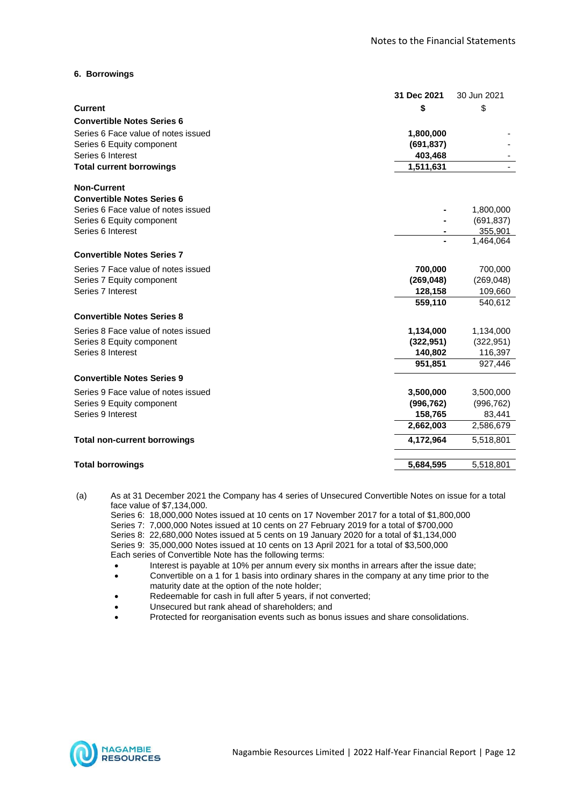#### **6. Borrowings**

|                                     | 31 Dec 2021 | 30 Jun 2021 |
|-------------------------------------|-------------|-------------|
| <b>Current</b>                      | \$          | \$          |
| <b>Convertible Notes Series 6</b>   |             |             |
| Series 6 Face value of notes issued | 1,800,000   |             |
| Series 6 Equity component           | (691, 837)  |             |
| Series 6 Interest                   | 403,468     |             |
| <b>Total current borrowings</b>     | 1,511,631   |             |
| <b>Non-Current</b>                  |             |             |
| <b>Convertible Notes Series 6</b>   |             |             |
| Series 6 Face value of notes issued |             | 1,800,000   |
| Series 6 Equity component           |             | (691, 837)  |
| Series 6 Interest                   |             | 355,901     |
|                                     |             | 1,464,064   |
| <b>Convertible Notes Series 7</b>   |             |             |
| Series 7 Face value of notes issued | 700,000     | 700,000     |
| Series 7 Equity component           | (269, 048)  | (269, 048)  |
| Series 7 Interest                   | 128,158     | 109,660     |
|                                     | 559,110     | 540,612     |
| <b>Convertible Notes Series 8</b>   |             |             |
| Series 8 Face value of notes issued | 1,134,000   | 1,134,000   |
| Series 8 Equity component           | (322, 951)  | (322, 951)  |
| Series 8 Interest                   | 140,802     | 116,397     |
|                                     | 951,851     | 927,446     |
| <b>Convertible Notes Series 9</b>   |             |             |
| Series 9 Face value of notes issued | 3,500,000   | 3,500,000   |
| Series 9 Equity component           | (996, 762)  | (996, 762)  |
| Series 9 Interest                   | 158,765     | 83,441      |
|                                     | 2,662,003   | 2,586,679   |
| <b>Total non-current borrowings</b> | 4,172,964   | 5,518,801   |
| <b>Total borrowings</b>             | 5,684,595   | 5,518,801   |
|                                     |             |             |

(a) As at 31 December 2021 the Company has 4 series of Unsecured Convertible Notes on issue for a total face value of \$7,134,000.

Series 6: 18,000,000 Notes issued at 10 cents on 17 November 2017 for a total of \$1,800,000 Series 7: 7,000,000 Notes issued at 10 cents on 27 February 2019 for a total of \$700,000 Series 8: 22,680,000 Notes issued at 5 cents on 19 January 2020 for a total of \$1,134,000 Series 9: 35,000,000 Notes issued at 10 cents on 13 April 2021 for a total of \$3,500,000 Each series of Convertible Note has the following terms:

- Interest is payable at 10% per annum every six months in arrears after the issue date;
- Convertible on a 1 for 1 basis into ordinary shares in the company at any time prior to the maturity date at the option of the note holder;
- Redeemable for cash in full after 5 years, if not converted;
- Unsecured but rank ahead of shareholders; and
- Protected for reorganisation events such as bonus issues and share consolidations.

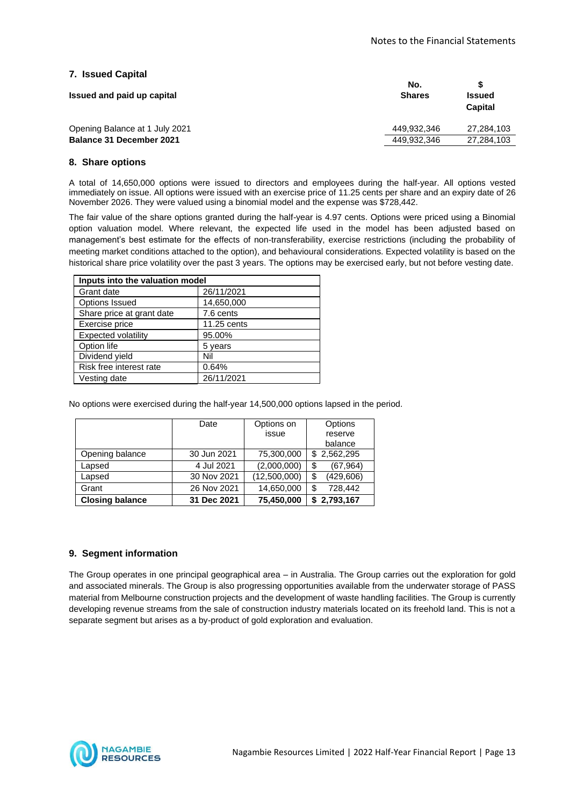#### **7. Issued Capital**

| Issued and paid up capital      | No.<br><b>Shares</b> | <b>Issued</b><br>Capital |
|---------------------------------|----------------------|--------------------------|
| Opening Balance at 1 July 2021  | 449.932.346          | 27.284.103               |
| <b>Balance 31 December 2021</b> | 449.932.346          | 27,284,103               |

#### **8. Share options**

A total of 14,650,000 options were issued to directors and employees during the half-year. All options vested immediately on issue. All options were issued with an exercise price of 11.25 cents per share and an expiry date of 26 November 2026. They were valued using a binomial model and the expense was \$728,442.

The fair value of the share options granted during the half-year is 4.97 cents. Options were priced using a Binomial option valuation model. Where relevant, the expected life used in the model has been adjusted based on management's best estimate for the effects of non-transferability, exercise restrictions (including the probability of meeting market conditions attached to the option), and behavioural considerations. Expected volatility is based on the historical share price volatility over the past 3 years. The options may be exercised early, but not before vesting date.

| Inputs into the valuation model |             |  |
|---------------------------------|-------------|--|
| Grant date                      | 26/11/2021  |  |
| <b>Options Issued</b>           | 14,650,000  |  |
| Share price at grant date       | 7.6 cents   |  |
| Exercise price                  | 11.25 cents |  |
| <b>Expected volatility</b>      | 95.00%      |  |
| Option life                     | 5 years     |  |
| Dividend yield                  | Nil         |  |
| Risk free interest rate         | 0.64%       |  |
| Vesting date                    | 26/11/2021  |  |

No options were exercised during the half-year 14,500,000 options lapsed in the period.

|                        | Date        | Options on   | Options          |
|------------------------|-------------|--------------|------------------|
|                        |             | issue        | reserve          |
|                        |             |              | balance          |
| Opening balance        | 30 Jun 2021 | 75,300,000   | \$2,562,295      |
| Lapsed                 | 4 Jul 2021  | (2,000,000)  | \$<br>(67, 964)  |
| Lapsed                 | 30 Nov 2021 | (12,500,000) | (429, 606)<br>\$ |
| Grant                  | 26 Nov 2021 | 14,650,000   | 728,442<br>\$    |
| <b>Closing balance</b> | 31 Dec 2021 | 75,450,000   | \$2,793,167      |

#### **9. Segment information**

The Group operates in one principal geographical area – in Australia. The Group carries out the exploration for gold and associated minerals. The Group is also progressing opportunities available from the underwater storage of PASS material from Melbourne construction projects and the development of waste handling facilities. The Group is currently developing revenue streams from the sale of construction industry materials located on its freehold land. This is not a separate segment but arises as a by-product of gold exploration and evaluation.

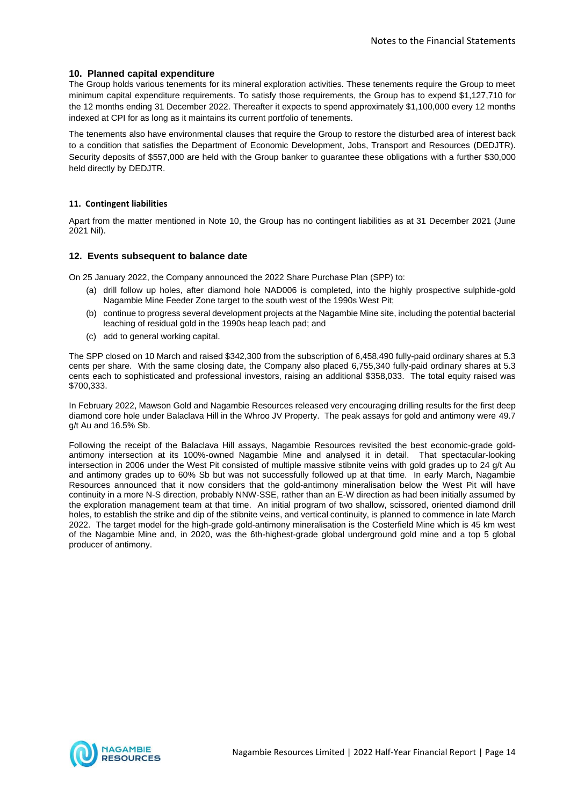#### **10. Planned capital expenditure**

The Group holds various tenements for its mineral exploration activities. These tenements require the Group to meet minimum capital expenditure requirements. To satisfy those requirements, the Group has to expend \$1,127,710 for the 12 months ending 31 December 2022. Thereafter it expects to spend approximately \$1,100,000 every 12 months indexed at CPI for as long as it maintains its current portfolio of tenements.

The tenements also have environmental clauses that require the Group to restore the disturbed area of interest back to a condition that satisfies the Department of Economic Development, Jobs, Transport and Resources (DEDJTR). Security deposits of \$557,000 are held with the Group banker to guarantee these obligations with a further \$30,000 held directly by DEDJTR.

#### **11. Contingent liabilities**

Apart from the matter mentioned in Note 10, the Group has no contingent liabilities as at 31 December 2021 (June 2021 Nil).

#### **12. Events subsequent to balance date**

On 25 January 2022, the Company announced the 2022 Share Purchase Plan (SPP) to:

- (a) drill follow up holes, after diamond hole NAD006 is completed, into the highly prospective sulphide-gold Nagambie Mine Feeder Zone target to the south west of the 1990s West Pit;
- (b) continue to progress several development projects at the Nagambie Mine site, including the potential bacterial leaching of residual gold in the 1990s heap leach pad; and
- (c) add to general working capital.

The SPP closed on 10 March and raised \$342,300 from the subscription of 6,458,490 fully-paid ordinary shares at 5.3 cents per share. With the same closing date, the Company also placed 6,755,340 fully-paid ordinary shares at 5.3 cents each to sophisticated and professional investors, raising an additional \$358,033. The total equity raised was \$700,333.

In February 2022, Mawson Gold and Nagambie Resources released very encouraging drilling results for the first deep diamond core hole under Balaclava Hill in the Whroo JV Property. The peak assays for gold and antimony were 49.7 g/t Au and 16.5% Sb.

Following the receipt of the Balaclava Hill assays, Nagambie Resources revisited the best economic-grade goldantimony intersection at its 100%-owned Nagambie Mine and analysed it in detail. That spectacular-looking intersection in 2006 under the West Pit consisted of multiple massive stibnite veins with gold grades up to 24 g/t Au and antimony grades up to 60% Sb but was not successfully followed up at that time. In early March, Nagambie Resources announced that it now considers that the gold-antimony mineralisation below the West Pit will have continuity in a more N-S direction, probably NNW-SSE, rather than an E-W direction as had been initially assumed by the exploration management team at that time. An initial program of two shallow, scissored, oriented diamond drill holes, to establish the strike and dip of the stibnite veins, and vertical continuity, is planned to commence in late March 2022. The target model for the high-grade gold-antimony mineralisation is the Costerfield Mine which is 45 km west of the Nagambie Mine and, in 2020, was the 6th-highest-grade global underground gold mine and a top 5 global producer of antimony.

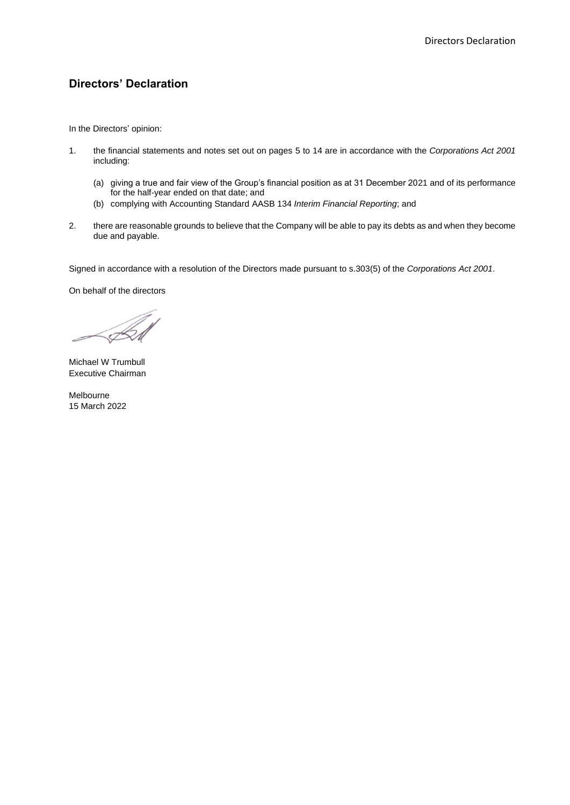## **Directors' Declaration**

In the Directors' opinion:

- 1. the financial statements and notes set out on pages 5 to 14 are in accordance with the *Corporations Act 2001* including:
	- (a) giving a true and fair view of the Group's financial position as at 31 December 2021 and of its performance for the half-year ended on that date; and
	- (b) complying with Accounting Standard AASB 134 *Interim Financial Reporting*; and
- 2. there are reasonable grounds to believe that the Company will be able to pay its debts as and when they become due and payable.

Signed in accordance with a resolution of the Directors made pursuant to s.303(5) of the *Corporations Act 2001*.

On behalf of the directors

Michael W Trumbull Executive Chairman

Melbourne 15 March 2022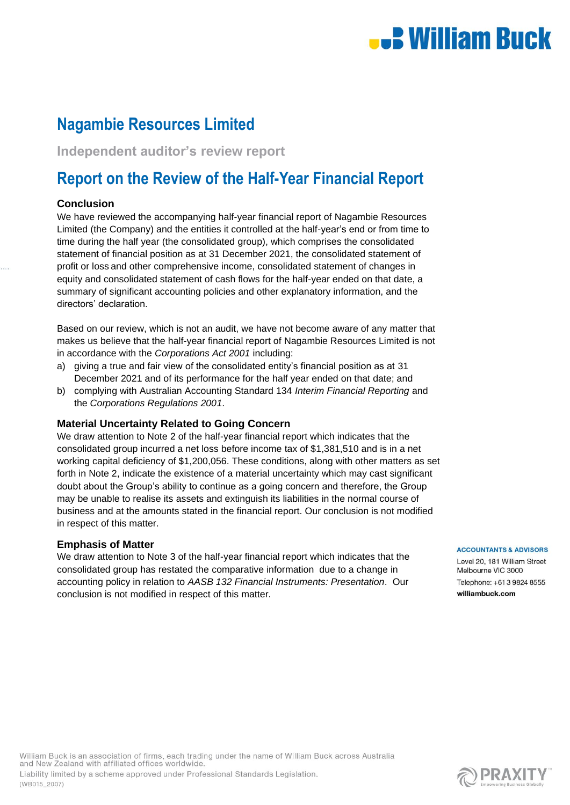# **.: William Buck**

# **Nagambie Resources Limited**

**Independent auditor's review report**

# **Report on the Review of the Half-Year Financial Report**

#### **Conclusion**

We have reviewed the accompanying half-year financial report of Nagambie Resources Limited (the Company) and the entities it controlled at the half-year's end or from time to time during the half year (the consolidated group), which comprises the consolidated statement of financial position as at 31 December 2021, the consolidated statement of profit or loss and other comprehensive income, consolidated statement of changes in equity and consolidated statement of cash flows for the half-year ended on that date, a summary of significant accounting policies and other explanatory information, and the directors' declaration.

Based on our review, which is not an audit, we have not become aware of any matter that makes us believe that the half-year financial report of Nagambie Resources Limited is not in accordance with the *Corporations Act 2001* including:

- a) giving a true and fair view of the consolidated entity's financial position as at 31 December 2021 and of its performance for the half year ended on that date; and
- b) complying with Australian Accounting Standard 134 *Interim Financial Reporting* and the *Corporations Regulations 2001*.

#### **Material Uncertainty Related to Going Concern**

We draw attention to Note 2 of the half-year financial report which indicates that the consolidated group incurred a net loss before income tax of \$1,381,510 and is in a net working capital deficiency of \$1,200,056. These conditions, along with other matters as set forth in Note 2, indicate the existence of a material uncertainty which may cast significant doubt about the Group's ability to continue as a going concern and therefore, the Group may be unable to realise its assets and extinguish its liabilities in the normal course of business and at the amounts stated in the financial report. Our conclusion is not modified in respect of this matter.

#### **Emphasis of Matter**

We draw attention to Note 3 of the half-year financial report which indicates that the consolidated group has restated the comparative information due to a change in accounting policy in relation to *AASB 132 Financial Instruments: Presentation*. Our conclusion is not modified in respect of this matter.

**ACCOUNTANTS & ADVISORS** 

Level 20, 181 William Street Melbourne VIC 3000 Telephone: +61 3 9824 8555 williambuck.com